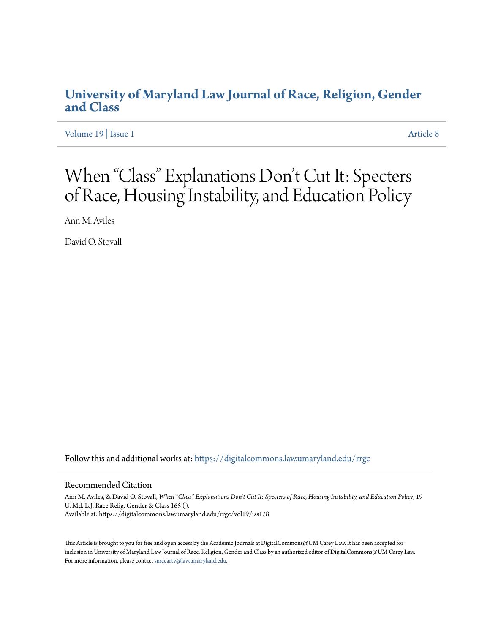## **[University of Maryland Law Journal of Race, Religion, Gender](https://digitalcommons.law.umaryland.edu/rrgc?utm_source=digitalcommons.law.umaryland.edu%2Frrgc%2Fvol19%2Fiss1%2F8&utm_medium=PDF&utm_campaign=PDFCoverPages) [and Class](https://digitalcommons.law.umaryland.edu/rrgc?utm_source=digitalcommons.law.umaryland.edu%2Frrgc%2Fvol19%2Fiss1%2F8&utm_medium=PDF&utm_campaign=PDFCoverPages)**

[Volume 19](https://digitalcommons.law.umaryland.edu/rrgc/vol19?utm_source=digitalcommons.law.umaryland.edu%2Frrgc%2Fvol19%2Fiss1%2F8&utm_medium=PDF&utm_campaign=PDFCoverPages) | [Issue 1](https://digitalcommons.law.umaryland.edu/rrgc/vol19/iss1?utm_source=digitalcommons.law.umaryland.edu%2Frrgc%2Fvol19%2Fiss1%2F8&utm_medium=PDF&utm_campaign=PDFCoverPages) [Article 8](https://digitalcommons.law.umaryland.edu/rrgc/vol19/iss1/8?utm_source=digitalcommons.law.umaryland.edu%2Frrgc%2Fvol19%2Fiss1%2F8&utm_medium=PDF&utm_campaign=PDFCoverPages)

# When "Class" Explanations Don 't Cut It: Specters of Race, Housing Instability, and Education Policy

Ann M. Aviles

David O. Stovall

Follow this and additional works at: [https://digitalcommons.law.umaryland.edu/rrgc](https://digitalcommons.law.umaryland.edu/rrgc?utm_source=digitalcommons.law.umaryland.edu%2Frrgc%2Fvol19%2Fiss1%2F8&utm_medium=PDF&utm_campaign=PDFCoverPages)

#### Recommended Citation

Ann M. Aviles, & David O. Stovall, *When "Class" Explanations Don't Cut It: Specters of Race, Housing Instability, and Education Policy*, 19 U. Md. L.J. Race Relig. Gender & Class 165 (). Available at: https://digitalcommons.law.umaryland.edu/rrgc/vol19/iss1/8

This Article is brought to you for free and open access by the Academic Journals at DigitalCommons@UM Carey Law. It has been accepted for inclusion in University of Maryland Law Journal of Race, Religion, Gender and Class by an authorized editor of DigitalCommons@UM Carey Law. For more information, please contact [smccarty@law.umaryland.edu.](mailto:smccarty@law.umaryland.edu)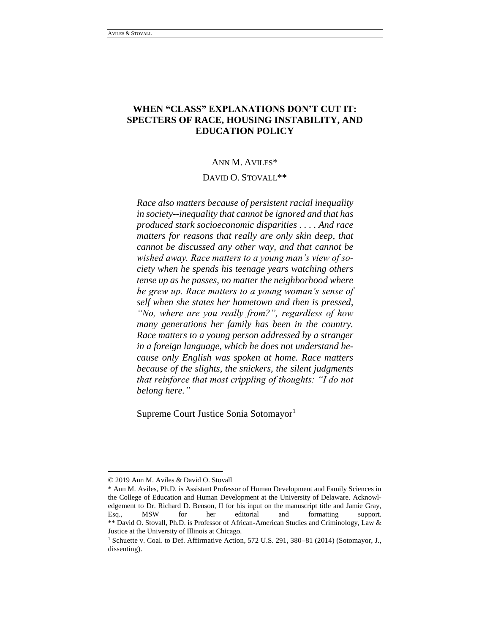## **WHEN "CLASS" EXPLANATIONS DON'T CUT IT: SPECTERS OF RACE, HOUSING INSTABILITY, AND EDUCATION POLICY**

#### ANN M. AVILES\*

### DAVID O. STOVALL\*\*

*Race also matters because of persistent racial inequality in society--inequality that cannot be ignored and that has produced stark socioeconomic disparities . . . . And race matters for reasons that really are only skin deep, that cannot be discussed any other way, and that cannot be wished away. Race matters to a young man's view of society when he spends his teenage years watching others tense up as he passes, no matter the neighborhood where he grew up. Race matters to a young woman's sense of self when she states her hometown and then is pressed, "No, where are you really from?", regardless of how many generations her family has been in the country. Race matters to a young person addressed by a stranger in a foreign language, which he does not understand because only English was spoken at home. Race matters because of the slights, the snickers, the silent judgments that reinforce that most crippling of thoughts: "I do not belong here."*

Supreme Court Justice Sonia Sotomayor<sup>1</sup>

<sup>© 2019</sup> Ann M. Aviles & David O. Stovall

<sup>\*</sup> Ann M. Aviles, Ph.D. is Assistant Professor of Human Development and Family Sciences in the College of Education and Human Development at the University of Delaware. Acknowledgement to Dr. Richard D. Benson, II for his input on the manuscript title and Jamie Gray, Esq., MSW for her editorial and formatting support. \*\* David O. Stovall, Ph.D. is Professor of African-American Studies and Criminology, Law & Justice at the University of Illinois at Chicago.

<sup>&</sup>lt;sup>1</sup> Schuette v. Coal. to Def. Affirmative Action, 572 U.S. 291, 380-81 (2014) (Sotomayor, J., dissenting).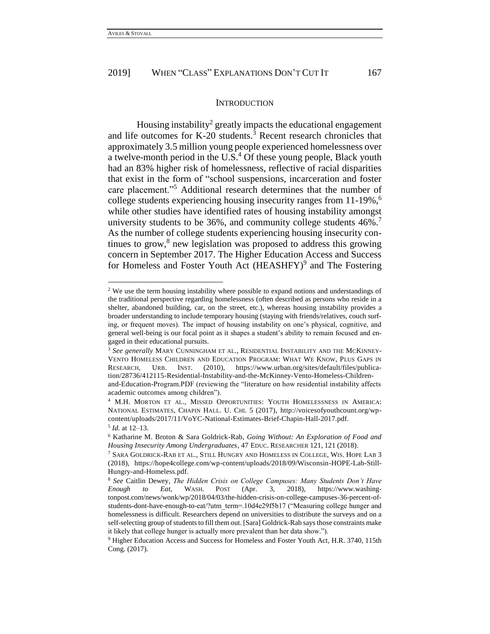#### **INTRODUCTION**

Housing instability<sup>2</sup> greatly impacts the educational engagement and life outcomes for K-20 students.<sup>3</sup> Recent research chronicles that approximately 3.5 million young people experienced homelessness over a twelve-month period in the U.S.<sup>4</sup> Of these young people, Black youth had an 83% higher risk of homelessness, reflective of racial disparities that exist in the form of "school suspensions, incarceration and foster care placement."<sup>5</sup> Additional research determines that the number of college students experiencing housing insecurity ranges from 11-19%, 6 while other studies have identified rates of housing instability amongst university students to be 36%, and community college students  $46\%$ . As the number of college students experiencing housing insecurity continues to grow, 8 new legislation was proposed to address this growing concern in September 2017. The Higher Education Access and Success for Homeless and Foster Youth Act  $(HEASHFY)^9$  and The Fostering

<sup>&</sup>lt;sup>2</sup> We use the term housing instability where possible to expand notions and understandings of the traditional perspective regarding homelessness (often described as persons who reside in a shelter, abandoned building, car, on the street, etc.), whereas housing instability provides a broader understanding to include temporary housing (staying with friends/relatives, couch surfing, or frequent moves). The impact of housing instability on one's physical, cognitive, and general well-being is our focal point as it shapes a student's ability to remain focused and engaged in their educational pursuits.

<sup>3</sup> *See generally* MARY CUNNINGHAM ET AL., RESIDENTIAL INSTABILITY AND THE MCKINNEY-VENTO HOMELESS CHILDREN AND EDUCATION PROGRAM: WHAT WE KNOW, PLUS GAPS IN RESEARCH, URB. INST. (2010), https://www.urban.org/sites/default/files/publication/28736/412115-Residential-Instability-and-the-McKinney-Vento-Homeless-Childrenand-Education-Program.PDF (reviewing the "literature on how residential instability affects academic outcomes among children").

<sup>4</sup> M.H. MORTON ET AL., MISSED OPPORTUNITIES: YOUTH HOMELESSNESS IN AMERICA: NATIONAL ESTIMATES, CHAPIN HALL. U. CHI. 5 (2017), http://voicesofyouthcount.org/wpcontent/uploads/2017/11/VoYC-National-Estimates-Brief-Chapin-Hall-2017.pdf.

<sup>5</sup> *Id.* at 12–13.

<sup>6</sup> Katharine M. Broton & Sara Goldrick-Rab, *Going Without: An Exploration of Food and Housing Insecurity Among Undergraduates*, 47 EDUC. RESEARCHER 121, 121 (2018).

<sup>7</sup> SARA GOLDRICK-RAB ET AL., STILL HUNGRY AND HOMELESS IN COLLEGE, WIS. HOPE LAB 3 (2018), https://hope4college.com/wp-content/uploads/2018/09/Wisconsin-HOPE-Lab-Still-Hungry-and-Homeless.pdf.

<sup>8</sup> *See* Caitlin Dewey, *The Hidden Crisis on College Campuses: Many Students Don't Have Enough to Eat*, WASH. POST (Apr. 3, 2018), https://www.washingtonpost.com/news/wonk/wp/2018/04/03/the-hidden-crisis-on-college-campuses-36-percent-ofstudents-dont-have-enough-to-eat/?utm\_term=.10d4e29f5b17 ("Measuring college hunger and homelessness is difficult. Researchers depend on universities to distribute the surveys and on a self-selecting group of students to fill them out. [Sara] Goldrick-Rab says those constraints make it likely that college hunger is actually more prevalent than her data show.").

<sup>9</sup> Higher Education Access and Success for Homeless and Foster Youth Act*,* H.R. 3740, 115th Cong. (2017).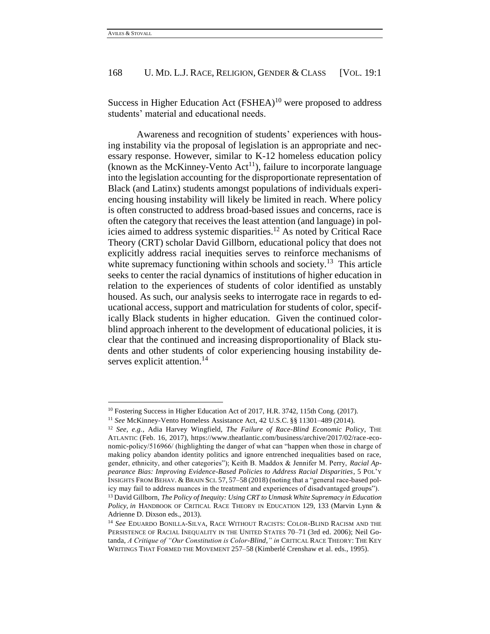$\overline{a}$ 

## 168 U. MD. L.J. RACE, RELIGION, GENDER & CLASS [VOL. 19:1]

Success in Higher Education Act  $(FSHEA)^{10}$  were proposed to address students' material and educational needs.

Awareness and recognition of students' experiences with housing instability via the proposal of legislation is an appropriate and necessary response. However, similar to K-12 homeless education policy (known as the McKinney-Vento  $Act^{11}$ ), failure to incorporate language into the legislation accounting for the disproportionate representation of Black (and Latinx) students amongst populations of individuals experiencing housing instability will likely be limited in reach. Where policy is often constructed to address broad-based issues and concerns, race is often the category that receives the least attention (and language) in policies aimed to address systemic disparities.<sup>12</sup> As noted by Critical Race Theory (CRT) scholar David Gillborn, educational policy that does not explicitly address racial inequities serves to reinforce mechanisms of white supremacy functioning within schools and society.<sup>13</sup> This article seeks to center the racial dynamics of institutions of higher education in relation to the experiences of students of color identified as unstably housed. As such, our analysis seeks to interrogate race in regards to educational access, support and matriculation for students of color, specifically Black students in higher education. Given the continued colorblind approach inherent to the development of educational policies, it is clear that the continued and increasing disproportionality of Black students and other students of color experiencing housing instability deserves explicit attention.<sup>14</sup>

<sup>&</sup>lt;sup>10</sup> Fostering Success in Higher Education Act of 2017, H.R. 3742, 115th Cong. (2017).

<sup>11</sup> *See* McKinney-Vento Homeless Assistance Act, 42 U.S.C. §§ 11301–489 (2014).

<sup>12</sup> *See, e.g.*, Adia Harvey Wingfield, *The Failure of Race-Blind Economic Policy*, THE ATLANTIC (Feb. 16, 2017), https://www.theatlantic.com/business/archive/2017/02/race-economic-policy/516966/ (highlighting the danger of what can "happen when those in charge of making policy abandon identity politics and ignore entrenched inequalities based on race, gender, ethnicity, and other categories"); Keith B. Maddox & Jennifer M. Perry, *Racial Appearance Bias: Improving Evidence-Based Policies to Address Racial Disparities*, 5 POL'Y INSIGHTS FROM BEHAV. & BRAIN SCI. 57, 57–58 (2018) (noting that a "general race-based policy may fail to address nuances in the treatment and experiences of disadvantaged groups"). <sup>13</sup> David Gillborn, *The Policy of Inequity: Using CRT to Unmask White Supremacy in Education Policy*, *in* HANDBOOK OF CRITICAL RACE THEORY IN EDUCATION 129, 133 (Marvin Lynn &

Adrienne D. Dixson eds., 2013).

<sup>14</sup> *See* EDUARDO BONILLA-SILVA, RACE WITHOUT RACISTS: COLOR-BLIND RACISM AND THE PERSISTENCE OF RACIAL INEQUALITY IN THE UNITED STATES 70–71 (3rd ed. 2006); Neil Gotanda, *A Critique of "Our Constitution is Color-Blind*,*" in* CRITICAL RACE THEORY: THE KEY WRITINGS THAT FORMED THE MOVEMENT 257–58 (Kimberlé Crenshaw et al. eds., 1995).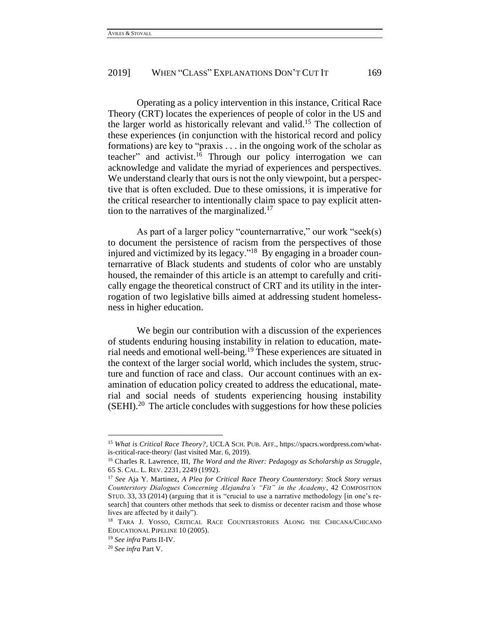Operating as a policy intervention in this instance, Critical Race Theory (CRT) locates the experiences of people of color in the US and the larger world as historically relevant and valid.<sup>15</sup> The collection of these experiences (in conjunction with the historical record and policy formations) are key to "praxis . . . in the ongoing work of the scholar as teacher" and activist.<sup>16</sup> Through our policy interrogation we can acknowledge and validate the myriad of experiences and perspectives. We understand clearly that ours is not the only viewpoint, but a perspective that is often excluded. Due to these omissions, it is imperative for the critical researcher to intentionally claim space to pay explicit attention to the narratives of the marginalized.<sup>17</sup>

As part of a larger policy "counternarrative," our work "seek(s) to document the persistence of racism from the perspectives of those injured and victimized by its legacy."<sup>18</sup> By engaging in a broader counternarrative of Black students and students of color who are unstably housed, the remainder of this article is an attempt to carefully and critically engage the theoretical construct of CRT and its utility in the interrogation of two legislative bills aimed at addressing student homelessness in higher education.

We begin our contribution with a discussion of the experiences of students enduring housing instability in relation to education, material needs and emotional well-being.<sup>19</sup> These experiences are situated in the context of the larger social world, which includes the system, structure and function of race and class. Our account continues with an examination of education policy created to address the educational, material and social needs of students experiencing housing instability (SEHI).<sup>20</sup> The article concludes with suggestions for how these policies

<sup>15</sup> *What is Critical Race Theory?*, UCLA SCH. PUB. AFF., https://spacrs.wordpress.com/whatis-critical-race-theory/ (last visited Mar. 6, 2019).

<sup>16</sup> Charles R. Lawrence, III, *The Word and the River: Pedagogy as Scholarship as Struggle*, 65 S. CAL. L. REV. 2231, 2249 (1992).

<sup>17</sup> *See* Aja Y. Martinez, *A Plea for Critical Race Theory Counterstory: Stock Story versus Counterstory Dialogues Concerning Alejandra's "Fit" in the Academy*, 42 COMPOSITION STUD. 33, 33 (2014) (arguing that it is "crucial to use a narrative methodology [in one's research] that counters other methods that seek to dismiss or decenter racism and those whose lives are affected by it daily").

<sup>&</sup>lt;sup>18</sup> TARA J. YOSSO, CRITICAL RACE COUNTERSTORIES ALONG THE CHICANA/CHICANO EDUCATIONAL PIPELINE 10 (2005).

<sup>19</sup> *See infra* Parts II-IV.

<sup>20</sup> *See infra* Part V.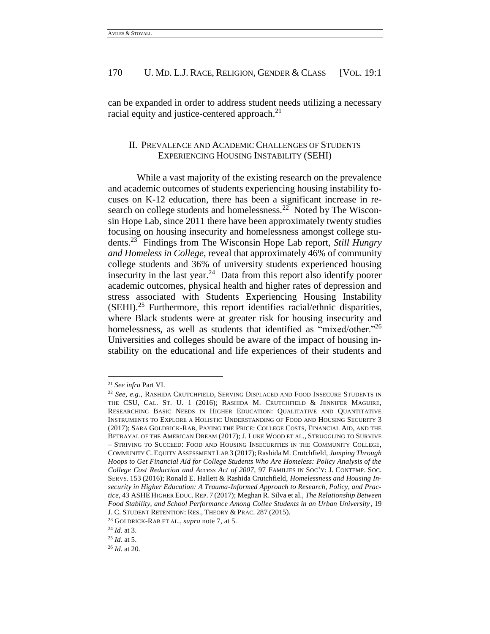can be expanded in order to address student needs utilizing a necessary racial equity and justice-centered approach.<sup>21</sup>

## II. PREVALENCE AND ACADEMIC CHALLENGES OF STUDENTS EXPERIENCING HOUSING INSTABILITY (SEHI)

While a vast majority of the existing research on the prevalence and academic outcomes of students experiencing housing instability focuses on K-12 education, there has been a significant increase in research on college students and homelessness.<sup>22</sup> Noted by The Wisconsin Hope Lab, since 2011 there have been approximately twenty studies focusing on housing insecurity and homelessness amongst college students.<sup>23</sup> Findings from The Wisconsin Hope Lab report, *Still Hungry and Homeless in College,* reveal that approximately 46% of community college students and 36% of university students experienced housing insecurity in the last year.<sup>24</sup> Data from this report also identify poorer academic outcomes, physical health and higher rates of depression and stress associated with Students Experiencing Housing Instability  $(SEHI).$ <sup>25</sup> Furthermore, this report identifies racial/ethnic disparities, where Black students were at greater risk for housing insecurity and homelessness, as well as students that identified as "mixed/other."<sup>26</sup> Universities and colleges should be aware of the impact of housing instability on the educational and life experiences of their students and

l

<sup>21</sup> *See infra* Part VI.

<sup>22</sup> *See, e.g.*, RASHIDA CRUTCHFIELD, SERVING DISPLACED AND FOOD INSECURE STUDENTS IN THE CSU, CAL. ST. U. 1 (2016); RASHIDA M. CRUTCHFIELD & JENNIFER MAGUIRE, RESEARCHING BASIC NEEDS IN HIGHER EDUCATION: QUALITATIVE AND QUANTITATIVE INSTRUMENTS TO EXPLORE A HOLISTIC UNDERSTANDING OF FOOD AND HOUSING SECURITY 3 (2017); SARA GOLDRICK-RAB, PAYING THE PRICE: COLLEGE COSTS, FINANCIAL AID, AND THE BETRAYAL OF THE AMERICAN DREAM (2017); J. LUKE WOOD ET AL., STRUGGLING TO SURVIVE – STRIVING TO SUCCEED: FOOD AND HOUSING INSECURITIES IN THE COMMUNITY COLLEGE, COMMUNITY C. EQUITY ASSESSMENT LAB 3 (2017); Rashida M. Crutchfield, *Jumping Through Hoops to Get Financial Aid for College Students Who Are Homeless: Policy Analysis of the College Cost Reduction and Access Act of 2007*, 97 FAMILIES IN SOC'Y: J. CONTEMP. SOC. SERVS. 153 (2016); Ronald E. Hallett & Rashida Crutchfield, *Homelessness and Housing Insecurity in Higher Education: A Trauma-Informed Approach to Research, Policy, and Practice*, 43 ASHE HIGHER EDUC. REP. 7 (2017); Meghan R. Silva et al., *The Relationship Between Food Stability, and School Performance Among Collee Students in an Urban University*, 19 J. C. STUDENT RETENTION: RES., THEORY & PRAC. 287 (2015).

<sup>23</sup> GOLDRICK-RAB ET AL., *supra* note 7, at 5.

<sup>24</sup> *Id.* at 3.

<sup>25</sup> *Id.* at 5.

<sup>26</sup> *Id.* at 20.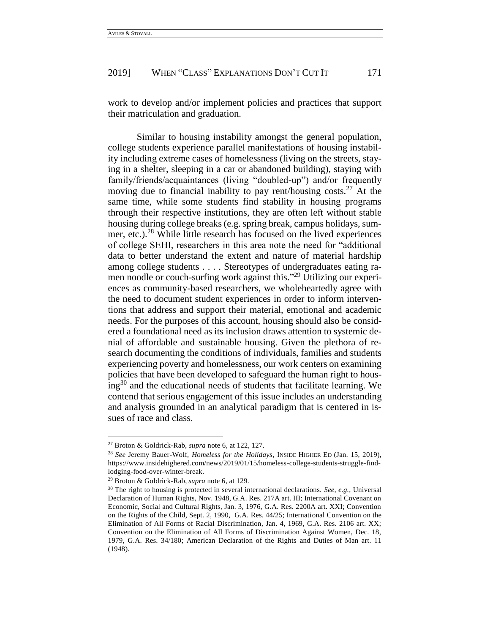work to develop and/or implement policies and practices that support their matriculation and graduation.

Similar to housing instability amongst the general population, college students experience parallel manifestations of housing instability including extreme cases of homelessness (living on the streets, staying in a shelter, sleeping in a car or abandoned building), staying with family/friends/acquaintances (living "doubled-up") and/or frequently moving due to financial inability to pay rent/housing costs.<sup>27</sup> At the same time, while some students find stability in housing programs through their respective institutions, they are often left without stable housing during college breaks (e.g. spring break, campus holidays, summer, etc.).<sup>28</sup> While little research has focused on the lived experiences of college SEHI, researchers in this area note the need for "additional data to better understand the extent and nature of material hardship among college students . . . . Stereotypes of undergraduates eating ramen noodle or couch-surfing work against this."<sup>29</sup> Utilizing our experiences as community-based researchers, we wholeheartedly agree with the need to document student experiences in order to inform interventions that address and support their material, emotional and academic needs. For the purposes of this account, housing should also be considered a foundational need as its inclusion draws attention to systemic denial of affordable and sustainable housing. Given the plethora of research documenting the conditions of individuals, families and students experiencing poverty and homelessness, our work centers on examining policies that have been developed to safeguard the human right to hous $ing<sup>30</sup>$  and the educational needs of students that facilitate learning. We contend that serious engagement of this issue includes an understanding and analysis grounded in an analytical paradigm that is centered in issues of race and class.

<sup>27</sup> Broton & Goldrick-Rab, *supra* note 6, at 122, 127.

<sup>28</sup> *See* Jeremy Bauer-Wolf, *Homeless for the Holidays*, INSIDE HIGHER ED (Jan. 15, 2019), https://www.insidehighered.com/news/2019/01/15/homeless-college-students-struggle-findlodging-food-over-winter-break.

<sup>29</sup> Broton & Goldrick-Rab, *supra* note 6, at 129.

<sup>&</sup>lt;sup>30</sup> The right to housing is protected in several international declarations. *See, e.g.*, Universal Declaration of Human Rights, Nov. 1948, G.A. Res. 217A art. III; International Covenant on Economic, Social and Cultural Rights, Jan. 3, 1976, G.A. Res. 2200A art. XXI; Convention on the Rights of the Child, Sept. 2, 1990, G.A. Res. 44/25; International Convention on the Elimination of All Forms of Racial Discrimination, Jan. 4, 1969, G.A. Res. 2106 art. XX; Convention on the Elimination of All Forms of Discrimination Against Women, Dec. 18, 1979, G.A. Res. 34/180; American Declaration of the Rights and Duties of Man art. 11 (1948).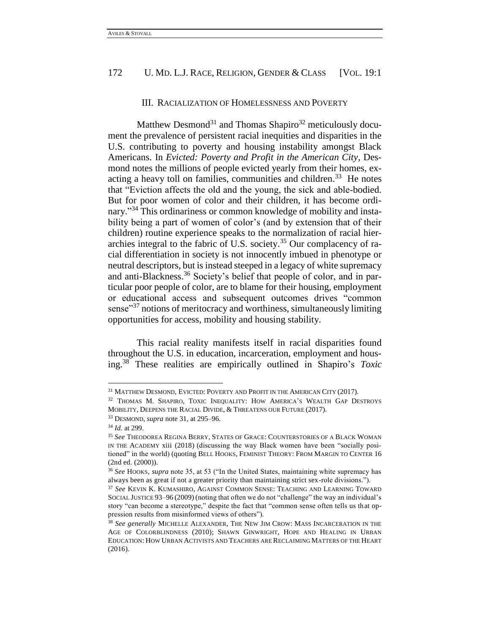#### III. RACIALIZATION OF HOMELESSNESS AND POVERTY

Matthew Desmond<sup>31</sup> and Thomas Shapiro<sup>32</sup> meticulously document the prevalence of persistent racial inequities and disparities in the U.S. contributing to poverty and housing instability amongst Black Americans. In *Evicted: Poverty and Profit in the American City*, Desmond notes the millions of people evicted yearly from their homes, exacting a heavy toll on families, communities and children.<sup>33</sup> He notes that "Eviction affects the old and the young, the sick and able-bodied. But for poor women of color and their children, it has become ordinary."<sup>34</sup> This ordinariness or common knowledge of mobility and instability being a part of women of color's (and by extension that of their children) routine experience speaks to the normalization of racial hierarchies integral to the fabric of U.S. society. <sup>35</sup> Our complacency of racial differentiation in society is not innocently imbued in phenotype or neutral descriptors, but is instead steeped in a legacy of white supremacy and anti-Blackness.<sup>36</sup> Society's belief that people of color, and in particular poor people of color, are to blame for their housing, employment or educational access and subsequent outcomes drives "common sense"<sup>37</sup> notions of meritocracy and worthiness, simultaneously limiting opportunities for access, mobility and housing stability.

This racial reality manifests itself in racial disparities found throughout the U.S. in education, incarceration, employment and housing. <sup>38</sup> These realities are empirically outlined in Shapiro's *Toxic* 

<sup>&</sup>lt;sup>31</sup> MATTHEW DESMOND, EVICTED: POVERTY AND PROFIT IN THE AMERICAN CITY (2017).

<sup>&</sup>lt;sup>32</sup> THOMAS M. SHAPIRO, TOXIC INEQUALITY: HOW AMERICA'S WEALTH GAP DESTROYS MOBILITY, DEEPENS THE RACIAL DIVIDE, & THREATENS OUR FUTURE (2017).

<sup>33</sup> DESMOND, *supra* note 31, at 295–96.

<sup>34</sup> *Id.* at 299.

<sup>35</sup> *See* THEODOREA REGINA BERRY, STATES OF GRACE: COUNTERSTORIES OF A BLACK WOMAN IN THE ACADEMY xiii (2018) (discussing the way Black women have been "socially positioned" in the world) (quoting BELL HOOKS, FEMINIST THEORY: FROM MARGIN TO CENTER 16 (2nd ed. (2000)).

<sup>36</sup> *See* HOOKS, *supra* note 35, at 53 ("In the United States, maintaining white supremacy has always been as great if not a greater priority than maintaining strict sex-role divisions.").

<sup>37</sup> *See* KEVIN K. KUMASHIRO, AGAINST COMMON SENSE: TEACHING AND LEARNING TOWARD SOCIAL JUSTICE 93–96 (2009) (noting that often we do not "challenge" the way an individual's story "can become a stereotype," despite the fact that "common sense often tells us that oppression results from misinformed views of others").

<sup>38</sup> *See generally* MICHELLE ALEXANDER, THE NEW JIM CROW: MASS INCARCERATION IN THE AGE OF COLORBLINDNESS (2010); SHAWN GINWRIGHT, HOPE AND HEALING IN URBAN EDUCATION: HOW URBAN ACTIVISTS AND TEACHERS ARE RECLAIMING MATTERS OF THE HEART (2016).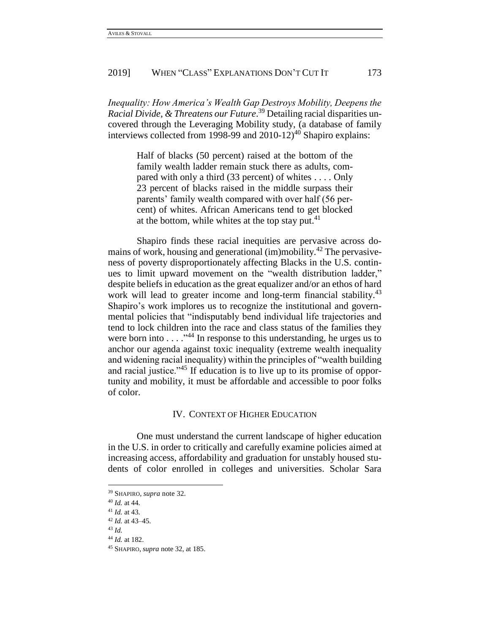*Inequality: How America's Wealth Gap Destroys Mobility, Deepens the Racial Divide, & Threatens our Future*. <sup>39</sup> Detailing racial disparities uncovered through the Leveraging Mobility study, (a database of family interviews collected from 1998-99 and  $2010-12$ <sup>40</sup> Shapiro explains:

> Half of blacks (50 percent) raised at the bottom of the family wealth ladder remain stuck there as adults, compared with only a third (33 percent) of whites . . . . Only 23 percent of blacks raised in the middle surpass their parents' family wealth compared with over half (56 percent) of whites. African Americans tend to get blocked at the bottom, while whites at the top stay put. $41$

Shapiro finds these racial inequities are pervasive across domains of work, housing and generational (im)mobility.<sup>42</sup> The pervasiveness of poverty disproportionately affecting Blacks in the U.S. continues to limit upward movement on the "wealth distribution ladder," despite beliefs in education as the great equalizer and/or an ethos of hard work will lead to greater income and long-term financial stability.<sup>43</sup> Shapiro's work implores us to recognize the institutional and governmental policies that "indisputably bend individual life trajectories and tend to lock children into the race and class status of the families they were born into . . . ." <sup>44</sup> In response to this understanding, he urges us to anchor our agenda against toxic inequality (extreme wealth inequality and widening racial inequality) within the principles of "wealth building and racial justice."<sup>45</sup> If education is to live up to its promise of opportunity and mobility, it must be affordable and accessible to poor folks of color.

### IV. CONTEXT OF HIGHER EDUCATION

One must understand the current landscape of higher education in the U.S. in order to critically and carefully examine policies aimed at increasing access, affordability and graduation for unstably housed students of color enrolled in colleges and universities. Scholar Sara

<sup>39</sup> SHAPIRO, *supra* note 32.

<sup>40</sup> *Id.* at 44.

<sup>41</sup> *Id.* at 43.

<sup>42</sup> *Id.* at 43–45.

<sup>43</sup> *Id.* 

<sup>44</sup> *Id.* at 182.

<sup>45</sup> SHAPIRO, *supra* note 32, at 185.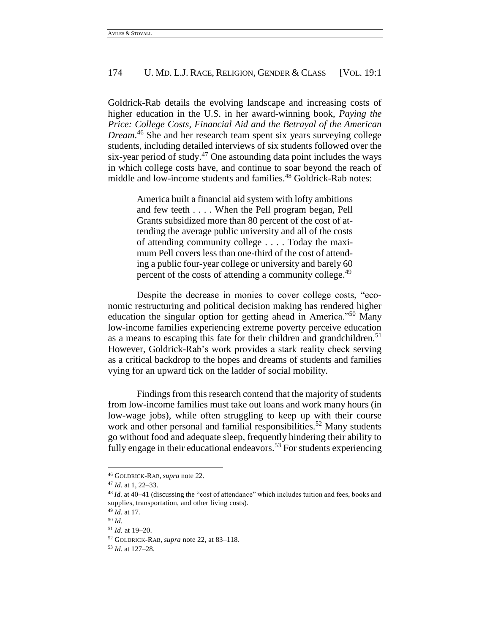Goldrick-Rab details the evolving landscape and increasing costs of higher education in the U.S. in her award-winning book, *Paying the Price: College Costs, Financial Aid and the Betrayal of the American Dream*. <sup>46</sup> She and her research team spent six years surveying college students, including detailed interviews of six students followed over the six-year period of study. $47$  One astounding data point includes the ways in which college costs have, and continue to soar beyond the reach of middle and low-income students and families.<sup>48</sup> Goldrick-Rab notes:

> America built a financial aid system with lofty ambitions and few teeth . . . . When the Pell program began, Pell Grants subsidized more than 80 percent of the cost of attending the average public university and all of the costs of attending community college . . . . Today the maximum Pell covers less than one-third of the cost of attending a public four-year college or university and barely 60 percent of the costs of attending a community college.<sup>49</sup>

Despite the decrease in monies to cover college costs, "economic restructuring and political decision making has rendered higher education the singular option for getting ahead in America."<sup>50</sup> Many low-income families experiencing extreme poverty perceive education as a means to escaping this fate for their children and grandchildren.<sup>51</sup> However, Goldrick-Rab's work provides a stark reality check serving as a critical backdrop to the hopes and dreams of students and families vying for an upward tick on the ladder of social mobility.

Findings from this research contend that the majority of students from low-income families must take out loans and work many hours (in low-wage jobs), while often struggling to keep up with their course work and other personal and familial responsibilities.<sup>52</sup> Many students go without food and adequate sleep, frequently hindering their ability to fully engage in their educational endeavors.<sup>53</sup> For students experiencing

<sup>46</sup> GOLDRICK-RAB*, supra* note 22.

<sup>47</sup> *Id.* at 1, 22–33.

<sup>48</sup> *Id.* at 40–41 (discussing the "cost of attendance" which includes tuition and fees, books and supplies, transportation, and other living costs).

<sup>49</sup> *Id.* at 17.

<sup>50</sup> *Id.*

<sup>51</sup> *Id.* at 19–20.

<sup>52</sup> GOLDRICK-RAB, *supra* note 22, at 83–118.

<sup>53</sup> *Id.* at 127–28.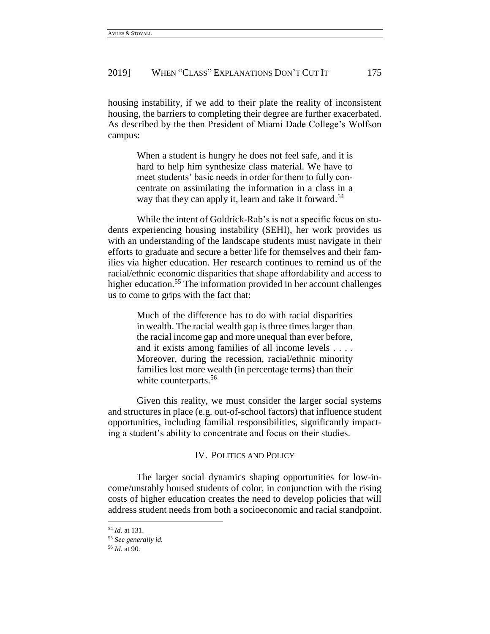housing instability, if we add to their plate the reality of inconsistent housing, the barriers to completing their degree are further exacerbated. As described by the then President of Miami Dade College's Wolfson campus:

> When a student is hungry he does not feel safe, and it is hard to help him synthesize class material. We have to meet students' basic needs in order for them to fully concentrate on assimilating the information in a class in a way that they can apply it, learn and take it forward.<sup>54</sup>

While the intent of Goldrick-Rab's is not a specific focus on students experiencing housing instability (SEHI), her work provides us with an understanding of the landscape students must navigate in their efforts to graduate and secure a better life for themselves and their families via higher education. Her research continues to remind us of the racial/ethnic economic disparities that shape affordability and access to higher education.<sup>55</sup> The information provided in her account challenges us to come to grips with the fact that:

> Much of the difference has to do with racial disparities in wealth. The racial wealth gap is three times larger than the racial income gap and more unequal than ever before, and it exists among families of all income levels . . . . Moreover, during the recession, racial/ethnic minority families lost more wealth (in percentage terms) than their white counterparts.<sup>56</sup>

Given this reality, we must consider the larger social systems and structures in place (e.g. out-of-school factors) that influence student opportunities, including familial responsibilities, significantly impacting a student's ability to concentrate and focus on their studies.

## IV. POLITICS AND POLICY

The larger social dynamics shaping opportunities for low-income/unstably housed students of color, in conjunction with the rising costs of higher education creates the need to develop policies that will address student needs from both a socioeconomic and racial standpoint.

<sup>54</sup> *Id.* at 131.

<sup>55</sup> *See generally id.*

<sup>56</sup> *Id.* at 90.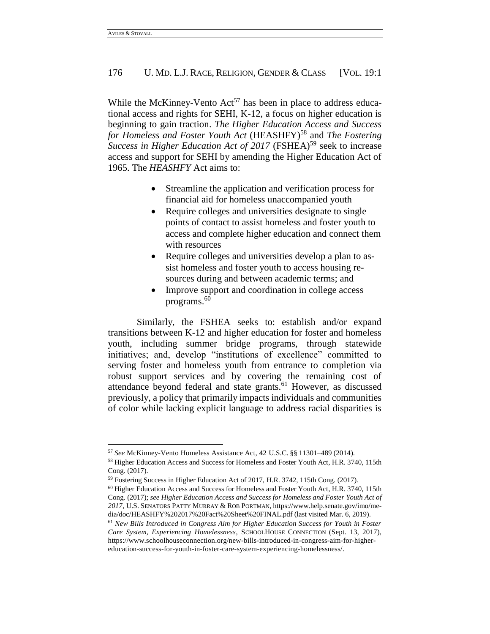l

## 176 U. MD. L.J. RACE, RELIGION, GENDER & CLASS [VOL. 19:1]

While the McKinney-Vento  $Act^{57}$  has been in place to address educational access and rights for SEHI, K-12, a focus on higher education is beginning to gain traction. *The Higher Education Access and Success for Homeless and Foster Youth Act* (HEASHFY)<sup>58</sup> and *The Fostering Success in Higher Education Act of 2017* (FSHEA)<sup>59</sup> seek to increase access and support for SEHI by amending the Higher Education Act of 1965. The *HEASHFY* Act aims to:

- Streamline the application and verification process for financial aid for homeless unaccompanied youth
- Require colleges and universities designate to single points of contact to assist homeless and foster youth to access and complete higher education and connect them with resources
- Require colleges and universities develop a plan to assist homeless and foster youth to access housing resources during and between academic terms; and
- Improve support and coordination in college access programs.<sup>60</sup>

Similarly, the FSHEA seeks to: establish and/or expand transitions between K-12 and higher education for foster and homeless youth, including summer bridge programs, through statewide initiatives; and, develop "institutions of excellence" committed to serving foster and homeless youth from entrance to completion via robust support services and by covering the remaining cost of attendance beyond federal and state grants. <sup>61</sup> However, as discussed previously, a policy that primarily impacts individuals and communities of color while lacking explicit language to address racial disparities is

<sup>57</sup> *See* McKinney-Vento Homeless Assistance Act, 42 U.S.C. §§ 11301–489 (2014).

<sup>58</sup> Higher Education Access and Success for Homeless and Foster Youth Act*,* H.R. 3740, 115th Cong. (2017).

<sup>59</sup> Fostering Success in Higher Education Act of 2017, H.R. 3742, 115th Cong. (2017).

<sup>60</sup> Higher Education Access and Success for Homeless and Foster Youth Act*,* H.R. 3740, 115th Cong. (2017); *see Higher Education Access and Success for Homeless and Foster Youth Act of 2017*, U.S. SENATORS PATTY MURRAY & ROB PORTMAN, https://www.help.senate.gov/imo/media/doc/HEASHFY%202017%20Fact%20Sheet%20FINAL.pdf (last visited Mar. 6, 2019).

<sup>61</sup> *New Bills Introduced in Congress Aim for Higher Education Success for Youth in Foster Care System, Experiencing Homelessness*, SCHOOLHOUSE CONNECTION (Sept. 13, 2017), https://www.schoolhouseconnection.org/new-bills-introduced-in-congress-aim-for-highereducation-success-for-youth-in-foster-care-system-experiencing-homelessness/.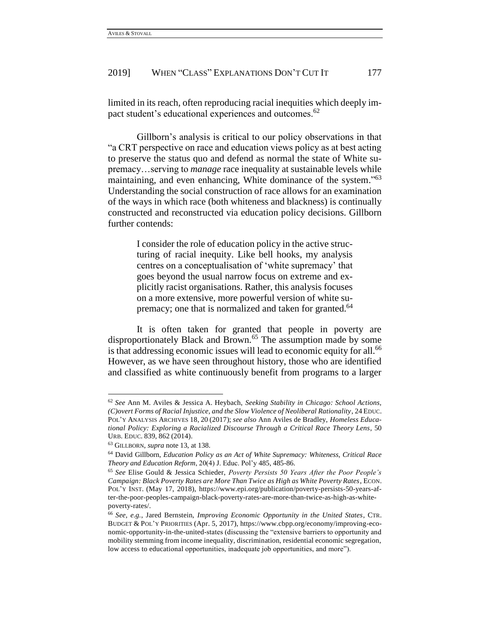limited in its reach, often reproducing racial inequities which deeply impact student's educational experiences and outcomes.<sup>62</sup>

Gillborn's analysis is critical to our policy observations in that "a CRT perspective on race and education views policy as at best acting to preserve the status quo and defend as normal the state of White supremacy…serving to *manage* race inequality at sustainable levels while maintaining, and even enhancing, White dominance of the system."<sup>63</sup> Understanding the social construction of race allows for an examination of the ways in which race (both whiteness and blackness) is continually constructed and reconstructed via education policy decisions. Gillborn further contends:

> I consider the role of education policy in the active structuring of racial inequity. Like bell hooks, my analysis centres on a conceptualisation of 'white supremacy' that goes beyond the usual narrow focus on extreme and explicitly racist organisations. Rather, this analysis focuses on a more extensive, more powerful version of white supremacy; one that is normalized and taken for granted.<sup>64</sup>

It is often taken for granted that people in poverty are disproportionately Black and Brown.<sup>65</sup> The assumption made by some is that addressing economic issues will lead to economic equity for all.<sup>66</sup> However, as we have seen throughout history, those who are identified and classified as white continuously benefit from programs to a larger

l

<sup>62</sup> *See* Ann M. Aviles & Jessica A. Heybach, *Seeking Stability in Chicago: School Actions, (C)overt Forms of Racial Injustice, and the Slow Violence of Neoliberal Rationality*, 24 EDUC. POL'Y ANALYSIS ARCHIVES 18, 20 (2017); *see also* Ann Aviles de Bradley, *Homeless Educational Policy: Exploring a Racialized Discourse Through a Critical Race Theory Lens*, 50 URB. EDUC. 839, 862 (2014).

<sup>63</sup> GILLBORN, *supra* note 13, at 138.

<sup>64</sup> David Gillborn, *Education Policy as an Act of White Supremacy: Whiteness, Critical Race Theory and Education Reform*, 20(4) J. Educ. Pol'y 485, 485-86.

<sup>65</sup> *See* Elise Gould & Jessica Schieder, *Poverty Persists 50 Years After the Poor People's Campaign: Black Poverty Rates are More Than Twice as High as White Poverty Rates*, ECON. POL'Y INST. (May 17, 2018), https://www.epi.org/publication/poverty-persists-50-years-after-the-poor-peoples-campaign-black-poverty-rates-are-more-than-twice-as-high-as-whitepoverty-rates/.

<sup>66</sup> *See, e.g.*, Jared Bernstein, *Improving Economic Opportunity in the United States*, CTR. BUDGET & POL'Y PRIORITIES (Apr. 5, 2017), https://www.cbpp.org/economy/improving-economic-opportunity-in-the-united-states (discussing the "extensive barriers to opportunity and mobility stemming from income inequality, discrimination, residential economic segregation, low access to educational opportunities, inadequate job opportunities, and more").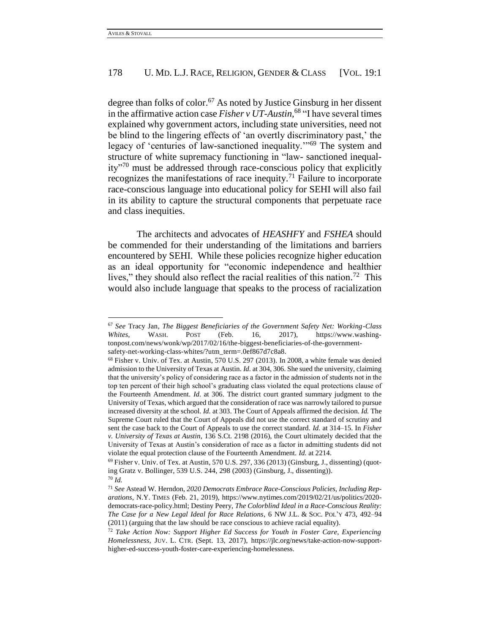l

## 178 U. MD. L.J. RACE, RELIGION, GENDER & CLASS [VOL. 19:1]

degree than folks of color.<sup>67</sup> As noted by Justice Ginsburg in her dissent in the affirmative action case *Fisher v UT-Austin,*<sup>68</sup> "I have several times explained why government actors, including state universities, need not be blind to the lingering effects of 'an overtly discriminatory past,' the legacy of 'centuries of law-sanctioned inequality.'"<sup>69</sup> The system and structure of white supremacy functioning in "law- sanctioned inequality"<sup>70</sup> must be addressed through race-conscious policy that explicitly recognizes the manifestations of race inequity.<sup>71</sup> Failure to incorporate race-conscious language into educational policy for SEHI will also fail in its ability to capture the structural components that perpetuate race and class inequities.

The architects and advocates of *HEASHFY* and *FSHEA* should be commended for their understanding of the limitations and barriers encountered by SEHI. While these policies recognize higher education as an ideal opportunity for "economic independence and healthier lives," they should also reflect the racial realities of this nation.<sup>72</sup> This would also include language that speaks to the process of racialization

<sup>67</sup> *See* Tracy Jan, *The Biggest Beneficiaries of the Government Safety Net: Working-Class Whites*, WASH. POST (Feb. 16, 2017), https://www.washingtonpost.com/news/wonk/wp/2017/02/16/the-biggest-beneficiaries-of-the-governmentsafety-net-working-class-whites/?utm\_term=.0ef867d7c8a8.

<sup>68</sup> Fisher v. Univ. of Tex. at Austin, 570 U.S. 297 (2013). In 2008, a white female was denied admission to the University of Texas at Austin. *Id.* at 304, 306. She sued the university, claiming that the university's policy of considering race as a factor in the admission of students not in the top ten percent of their high school's graduating class violated the equal protections clause of the Fourteenth Amendment. *Id.* at 306. The district court granted summary judgment to the University of Texas, which argued that the consideration of race was narrowly tailored to pursue increased diversity at the school. *Id.* at 303. The Court of Appeals affirmed the decision. *Id.* The Supreme Court ruled that the Court of Appeals did not use the correct standard of scrutiny and sent the case back to the Court of Appeals to use the correct standard. *Id.* at 314–15. In *Fisher v. University of Texas at Austin,* 136 S.Ct. 2198 (2016), the Court ultimately decided that the University of Texas at Austin's consideration of race as a factor in admitting students did not violate the equal protection clause of the Fourteenth Amendment. *Id.* at 2214.

 $69$  Fisher v. Univ. of Tex. at Austin, 570 U.S. 297, 336 (2013) (Ginsburg, J., dissenting) (quoting Gratz v. Bollinger, 539 U.S. 244, 298 (2003) (Ginsburg, J., dissenting)). <sup>70</sup> *Id.*

<sup>71</sup> *See* Astead W. Herndon, *2020 Democrats Embrace Race-Conscious Policies, Including Reparations*, N.Y. TIMES (Feb. 21, 2019), https://www.nytimes.com/2019/02/21/us/politics/2020 democrats-race-policy.html; Destiny Peery, *The Colorblind Ideal in a Race-Conscious Reality: The Case for a New Legal Ideal for Race Relations*, 6 NW J.L. & SOC. POL'Y 473, 492–94 (2011) (arguing that the law should be race conscious to achieve racial equality).

<sup>72</sup> *Take Action Now: Support Higher Ed Success for Youth in Foster Care, Experiencing Homelessness*, JUV. L. CTR. (Sept. 13, 2017), https://jlc.org/news/take-action-now-supporthigher-ed-success-youth-foster-care-experiencing-homelessness.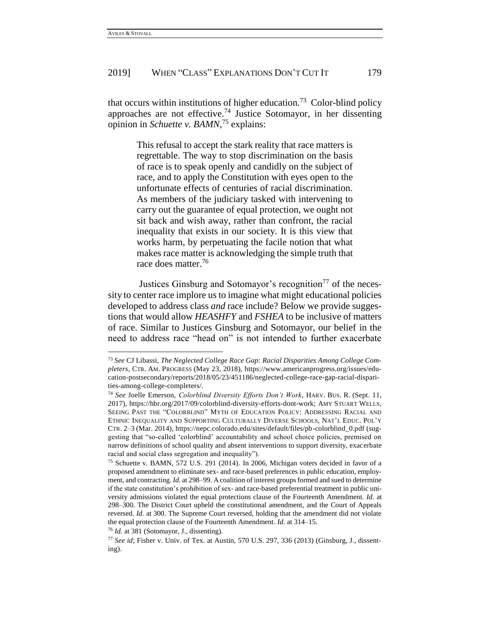$\overline{a}$ 

## 2019] WHEN "CLASS" EXPLANATIONS DON'T CUT IT 179

that occurs within institutions of higher education.<sup>73</sup> Color-blind policy approaches are not effective.<sup>74</sup> Justice Sotomayor, in her dissenting opinion in *Schuette v. BAMN,*<sup>75</sup> explains:

> This refusal to accept the stark reality that race matters is regrettable. The way to stop discrimination on the basis of race is to speak openly and candidly on the subject of race, and to apply the Constitution with eyes open to the unfortunate effects of centuries of racial discrimination. As members of the judiciary tasked with intervening to carry out the guarantee of equal protection, we ought not sit back and wish away, rather than confront, the racial inequality that exists in our society. It is this view that works harm, by perpetuating the facile notion that what makes race matter is acknowledging the simple truth that race does matter.<sup>76</sup>

Justices Ginsburg and Sotomayor's recognition<sup> $77$ </sup> of the necessity to center race implore us to imagine what might educational policies developed to address class *and* race include? Below we provide suggestions that would allow *HEASHFY* and *FSHEA* to be inclusive of matters of race. Similar to Justices Ginsburg and Sotomayor, our belief in the need to address race "head on" is not intended to further exacerbate

<sup>73</sup> *See* CJ Libassi, *The Neglected College Race Gap: Racial Disparities Among College Completers*, CTR. AM. PROGRESS (May 23, 2018), https://www.americanprogress.org/issues/education-postsecondary/reports/2018/05/23/451186/neglected-college-race-gap-racial-disparities-among-college-completers/.

<sup>74</sup> *See* Joelle Emerson, *Colorblind Diversity Efforts Don't Work*, HARV. BUS. R. (Sept. 11, 2017), https://hbr.org/2017/09/colorblind-diversity-efforts-dont-work; AMY STUART WELLS, SEEING PAST THE "COLORBLIND" MYTH OF EDUCATION POLICY: ADDRESSING RACIAL AND ETHNIC INEQUALITY AND SUPPORTING CULTURALLY DIVERSE SCHOOLS, NAT'L EDUC. POL'Y CTR. 2–3 (Mar. 2014), https://nepc.colorado.edu/sites/default/files/pb-colorblind\_0.pdf (suggesting that "so-called 'colorblind' accountability and school choice policies, premised on narrow definitions of school quality and absent interventions to support diversity, exacerbate racial and social class segregation and inequality").

<sup>75</sup> Schuette v. BAMN, 572 U.S. 291 (2014). In 2006, Michigan voters decided in favor of a proposed amendment to eliminate sex- and race-based preferences in public education, employment, and contracting. *Id.* at 298–99. A coalition of interest groups formed and sued to determine if the state constitution's prohibition of sex- and race-based preferential treatment in public university admissions violated the equal protections clause of the Fourteenth Amendment. *Id.* at 298–300. The District Court upheld the constitutional amendment, and the Court of Appeals reversed. *Id.* at 300. The Supreme Court reversed, holding that the amendment did not violate the equal protection clause of the Fourteenth Amendment. *Id.* at 314–15.

<sup>76</sup> *Id.* at 381 (Sotomayor, J., dissenting).

<sup>77</sup> *See id*; Fisher v. Univ. of Tex. at Austin, 570 U.S. 297, 336 (2013) (Ginsburg, J., dissenting).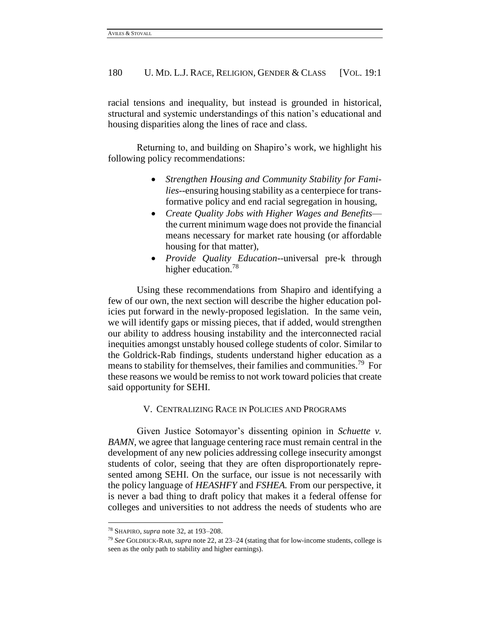racial tensions and inequality, but instead is grounded in historical, structural and systemic understandings of this nation's educational and housing disparities along the lines of race and class.

Returning to, and building on Shapiro's work, we highlight his following policy recommendations:

- *Strengthen Housing and Community Stability for Families--*ensuring housing stability as a centerpiece for transformative policy and end racial segregation in housing,
- *Create Quality Jobs with Higher Wages and Benefits* the current minimum wage does not provide the financial means necessary for market rate housing (or affordable housing for that matter),
- *Provide Quality Education*--universal pre-k through higher education.<sup>78</sup>

Using these recommendations from Shapiro and identifying a few of our own, the next section will describe the higher education policies put forward in the newly-proposed legislation. In the same vein, we will identify gaps or missing pieces, that if added, would strengthen our ability to address housing instability and the interconnected racial inequities amongst unstably housed college students of color. Similar to the Goldrick-Rab findings, students understand higher education as a means to stability for themselves, their families and communities.<sup>79</sup> For these reasons we would be remiss to not work toward policies that create said opportunity for SEHI.

#### V. CENTRALIZING RACE IN POLICIES AND PROGRAMS

Given Justice Sotomayor's dissenting opinion in *Schuette v. BAMN*, we agree that language centering race must remain central in the development of any new policies addressing college insecurity amongst students of color, seeing that they are often disproportionately represented among SEHI. On the surface, our issue is not necessarily with the policy language of *HEASHFY* and *FSHEA.* From our perspective, it is never a bad thing to draft policy that makes it a federal offense for colleges and universities to not address the needs of students who are

<sup>78</sup> SHAPIRO, *supra* note 32, at 193–208.

<sup>79</sup> *See* GOLDRICK-RAB, *supra* note 22, at 23–24 (stating that for low-income students, college is seen as the only path to stability and higher earnings).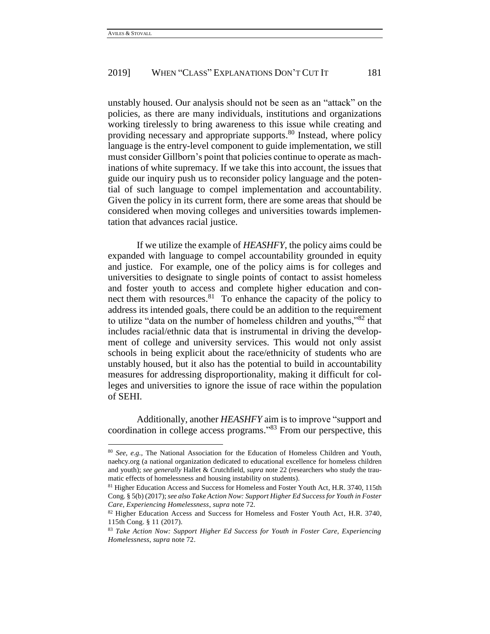l

## 2019] WHEN "CLASS" EXPLANATIONS DON'T CUT IT 181

unstably housed. Our analysis should not be seen as an "attack" on the policies, as there are many individuals, institutions and organizations working tirelessly to bring awareness to this issue while creating and providing necessary and appropriate supports.<sup>80</sup> Instead, where policy language is the entry-level component to guide implementation, we still must consider Gillborn's point that policies continue to operate as machinations of white supremacy. If we take this into account, the issues that guide our inquiry push us to reconsider policy language and the potential of such language to compel implementation and accountability. Given the policy in its current form, there are some areas that should be considered when moving colleges and universities towards implementation that advances racial justice.

If we utilize the example of *HEASHFY*, the policy aims could be expanded with language to compel accountability grounded in equity and justice. For example, one of the policy aims is for colleges and universities to designate to single points of contact to assist homeless and foster youth to access and complete higher education and connect them with resources. $81$  To enhance the capacity of the policy to address its intended goals, there could be an addition to the requirement to utilize "data on the number of homeless children and youths,"<sup>82</sup> that includes racial/ethnic data that is instrumental in driving the development of college and university services. This would not only assist schools in being explicit about the race/ethnicity of students who are unstably housed, but it also has the potential to build in accountability measures for addressing disproportionality, making it difficult for colleges and universities to ignore the issue of race within the population of SEHI.

Additionally, another *HEASHFY* aim is to improve "support and coordination in college access programs." <sup>83</sup> From our perspective, this

<sup>80</sup> *See*, *e.g.*, The National Association for the Education of Homeless Children and Youth, naehcy.org (a national organization dedicated to educational excellence for homeless children and youth); *see generally* Hallet & Crutchfield, *supra* note 22 (researchers who study the traumatic effects of homelessness and housing instability on students).

<sup>81</sup> Higher Education Access and Success for Homeless and Foster Youth Act*,* H.R. 3740, 115th Cong. § 5(b) (2017); *see also Take Action Now: Support Higher Ed Success for Youth in Foster Care, Experiencing Homelessness*, *supra* note 72.

<sup>82</sup> Higher Education Access and Success for Homeless and Foster Youth Act*,* H.R. 3740, 115th Cong. § 11 (2017).

<sup>83</sup> *Take Action Now: Support Higher Ed Success for Youth in Foster Care, Experiencing Homelessness*, *supra* note 72.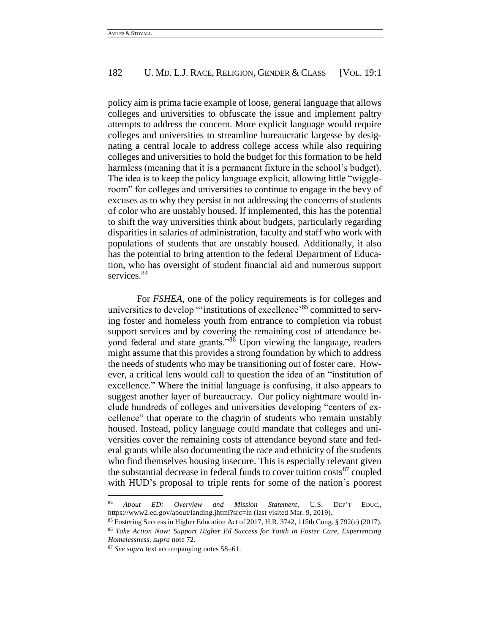policy aim is prima facie example of loose, general language that allows colleges and universities to obfuscate the issue and implement paltry attempts to address the concern. More explicit language would require colleges and universities to streamline bureaucratic largesse by designating a central locale to address college access while also requiring colleges and universities to hold the budget for this formation to be held harmless (meaning that it is a permanent fixture in the school's budget). The idea is to keep the policy language explicit, allowing little "wiggleroom" for colleges and universities to continue to engage in the bevy of excuses as to why they persist in not addressing the concerns of students of color who are unstably housed. If implemented, this has the potential to shift the way universities think about budgets, particularly regarding disparities in salaries of administration, faculty and staff who work with populations of students that are unstably housed. Additionally, it also has the potential to bring attention to the federal Department of Education, who has oversight of student financial aid and numerous support services.<sup>84</sup>

For *FSHEA,* one of the policy requirements is for colleges and universities to develop "'institutions of excellence'<sup>85</sup> committed to serving foster and homeless youth from entrance to completion via robust support services and by covering the remaining cost of attendance beyond federal and state grants."<sup>86</sup> Upon viewing the language, readers might assume that this provides a strong foundation by which to address the needs of students who may be transitioning out of foster care. However, a critical lens would call to question the idea of an "institution of excellence." Where the initial language is confusing, it also appears to suggest another layer of bureaucracy. Our policy nightmare would include hundreds of colleges and universities developing "centers of excellence" that operate to the chagrin of students who remain unstably housed. Instead, policy language could mandate that colleges and universities cover the remaining costs of attendance beyond state and federal grants while also documenting the race and ethnicity of the students who find themselves housing insecure. This is especially relevant given the substantial decrease in federal funds to cover tuition costs $^{87}$  coupled with HUD's proposal to triple rents for some of the nation's poorest

 $\overline{\phantom{a}}$ 

<sup>84</sup> *About ED: Overview and Mission Statement*, U.S. DEP'T EDUC., https://www2.ed.gov/about/landing.jhtml?src=ln (last visited Mar. 9, 2019).

<sup>85</sup> Fostering Success in Higher Education Act of 2017, H.R. 3742, 115th Cong. § 792(e) (2017).

<sup>86</sup> *Take Action Now: Support Higher Ed Success for Youth in Foster Care, Experiencing Homelessness*, *supra* note 72.

<sup>87</sup> *See supra* text accompanying notes 58–61.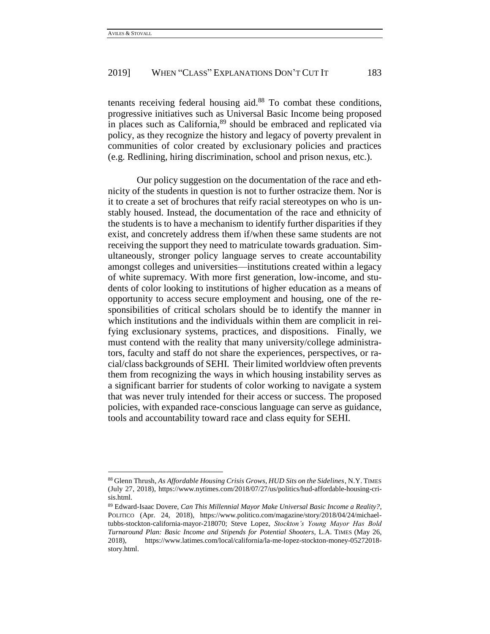$\overline{a}$ 

#### 2019] WHEN "CLASS" EXPLANATIONS DON'T CUT IT 183

tenants receiving federal housing aid. <sup>88</sup> To combat these conditions, progressive initiatives such as Universal Basic Income being proposed in places such as California,<sup>89</sup> should be embraced and replicated via policy, as they recognize the history and legacy of poverty prevalent in communities of color created by exclusionary policies and practices (e.g. Redlining, hiring discrimination, school and prison nexus, etc.).

Our policy suggestion on the documentation of the race and ethnicity of the students in question is not to further ostracize them. Nor is it to create a set of brochures that reify racial stereotypes on who is unstably housed. Instead, the documentation of the race and ethnicity of the students is to have a mechanism to identify further disparities if they exist, and concretely address them if/when these same students are not receiving the support they need to matriculate towards graduation. Simultaneously, stronger policy language serves to create accountability amongst colleges and universities—institutions created within a legacy of white supremacy. With more first generation, low-income, and students of color looking to institutions of higher education as a means of opportunity to access secure employment and housing, one of the responsibilities of critical scholars should be to identify the manner in which institutions and the individuals within them are complicit in reifying exclusionary systems, practices, and dispositions. Finally, we must contend with the reality that many university/college administrators, faculty and staff do not share the experiences, perspectives, or racial/class backgrounds of SEHI. Their limited worldview often prevents them from recognizing the ways in which housing instability serves as a significant barrier for students of color working to navigate a system that was never truly intended for their access or success. The proposed policies, with expanded race-conscious language can serve as guidance, tools and accountability toward race and class equity for SEHI.

<sup>88</sup> Glenn Thrush, *As Affordable Housing Crisis Grows, HUD Sits on the Sidelines*, N.Y. TIMES (July 27, 2018), https://www.nytimes.com/2018/07/27/us/politics/hud-affordable-housing-crisis.html.

<sup>89</sup> Edward-Isaac Dovere, *Can This Millennial Mayor Make Universal Basic Income a Reality?*, POLITICO (Apr. 24, 2018), https://www.politico.com/magazine/story/2018/04/24/michaeltubbs-stockton-california-mayor-218070; Steve Lopez, *Stockton's Young Mayor Has Bold Turnaround Plan: Basic Income and Stipends for Potential Shooters*, L.A. TIMES (May 26, 2018), https://www.latimes.com/local/california/la-me-lopez-stockton-money-05272018 story.html.